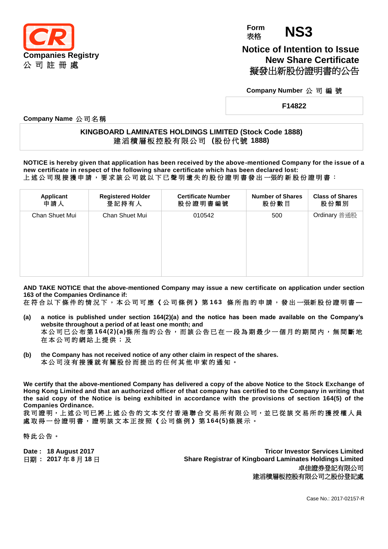

**Form Form NS3** 

**Notice of Intention to Issue New Share Certificate** 擬發出新股份證明書的公告

**Company Number** 公 司 編 號

**F14822**

**Company Name** 公 司 名 稱

## **KINGBOARD LAMINATES HOLDINGS LIMITED (Stock Code 1888)** 建 滔 積 層 板 控 股 有 限 公 司 **(**股 份 代 號 **1888)**

**NOTICE is hereby given that application has been received by the above-mentioned Company for the issue of a new certificate in respect of the following share certificate which has been declared lost:** 上 述 公 司 現 接 獲 申 請 , 要 求 該 公 司 就 以 下 已 聲 明 遺 失 的 股 份 證 明 書 發 出 一張的 新 股 份 證 明 書 :

| <b>Applicant</b> | <b>Registered Holder</b> | <b>Certificate Number</b> | <b>Number of Shares</b> | <b>Class of Shares</b> |
|------------------|--------------------------|---------------------------|-------------------------|------------------------|
| 申請人              | 登記持有人                    | 股份證明書編號                   | 股份數目                    | 股份類別                   |
| Chan Shuet Mui   | <b>Chan Shuet Mui</b>    | 010542                    | 500                     | Ordinary 普通股           |

**AND TAKE NOTICE that the above-mentioned Company may issue a new certificate on application under section 163 of the Companies Ordinance if:**

在 符 合 以 下 條 件 的 情 況 下 , 本 公 司 可 應 《 公 司 條 例 》 第 **163** 條 所 指 的 申 請 , 發 出 一張新 股 份 證 明 書 **—**

- **(a) a notice is published under section 164(2)(a) and the notice has been made available on the Company's website throughout a period of at least one month; and** 本公司已公布第 **164(2)(a)**條所指的公告,而該公告已在一段為期最少一個月的期間內,無間斷地 在 本 公 司 的 網 站 上 提 供 ; 及
- **(b) the Company has not received notice of any other claim in respect of the shares.** 本 公 司 沒 有 接 獲 就 有 關 股 份 而 提 出 的 任 何 其 他 申 索 的 通 知 。

**We certify that the above-mentioned Company has delivered a copy of the above Notice to the Stock Exchange of Hong Kong Limited and that an authorized officer of that company has certified to the Company in writing that the said copy of the Notice is being exhibited in accordance with the provisions of section 164(5) of the Companies Ordinance.**

我司證明,上述公司已將上述公告的文本交付香港聯合交易所有限公司,並已從該交易所的獲授權人員 處 取 得 一 份 證 明 書 , 證 明 該 文 本 正 按 照 《 公 司 條 例 》 第 **164(5)**條展示。

特此公告。

**Date : 18 August 2017 Tricor Investor Services Limited** 日期 **: 2017** 年 **8** 月 **18** 日 **Share Registrar of Kingboard Laminates Holdings Limited** 卓佳證券登記有限公司 建滔積層板控股有限公司之股份登記處

Case No.: 2017-02157-R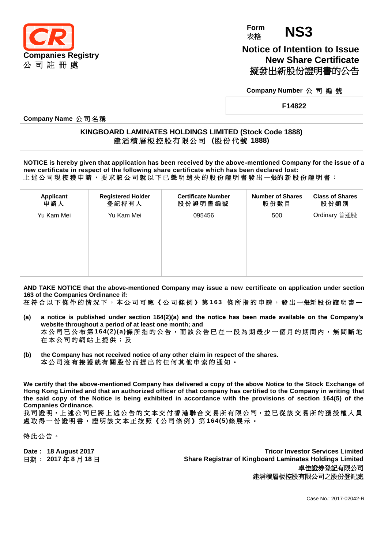

**Form Form NS3** 

**Notice of Intention to Issue New Share Certificate** 擬發出新股份證明書的公告

**Company Number** 公 司 編 號

**F14822**

**Company Name** 公 司 名 稱

## **KINGBOARD LAMINATES HOLDINGS LIMITED (Stock Code 1888)** 建 滔 積 層 板 控 股 有 限 公 司 **(**股 份 代 號 **1888)**

**NOTICE is hereby given that application has been received by the above-mentioned Company for the issue of a new certificate in respect of the following share certificate which has been declared lost:** 上 述 公 司 現 接 獲 申 請 , 要 求 該 公 司 就 以 下 已 聲 明 遺 失 的 股 份 證 明 書 發 出 一張的 新 股 份 證 明 書 :

| Applicant  | <b>Registered Holder</b> | <b>Certificate Number</b> | <b>Number of Shares</b> | <b>Class of Shares</b> |
|------------|--------------------------|---------------------------|-------------------------|------------------------|
| 申請人        | 登記持有人                    | 股份證明書編號                   | 股份數目                    | 股份類別                   |
| Yu Kam Mei | Yu Kam Mei               | 095456                    | 500                     | Ordinary 普通股           |

**AND TAKE NOTICE that the above-mentioned Company may issue a new certificate on application under section 163 of the Companies Ordinance if:**

在 符 合 以 下 條 件 的 情 況 下 , 本 公 司 可 應 《 公 司 條 例 》 第 **163** 條 所 指 的 申 請 , 發 出 一張新 股 份 證 明 書 **—**

- **(a) a notice is published under section 164(2)(a) and the notice has been made available on the Company's website throughout a period of at least one month; and** 本公司已公布第 **164(2)(a)**條所指的公告,而該公告已在一段為期最少一個月的期間內,無間斷地 在 本 公 司 的 網 站 上 提 供 ; 及
- **(b) the Company has not received notice of any other claim in respect of the shares.** 本 公 司 沒 有 接 獲 就 有 關 股 份 而 提 出 的 任 何 其 他 申 索 的 通 知 。

**We certify that the above-mentioned Company has delivered a copy of the above Notice to the Stock Exchange of Hong Kong Limited and that an authorized officer of that company has certified to the Company in writing that the said copy of the Notice is being exhibited in accordance with the provisions of section 164(5) of the Companies Ordinance.**

我司證明,上述公司已將上述公告的文本交付香港聯合交易所有限公司,並已從該交易所的獲授權人員 處 取 得 一 份 證 明 書 , 證 明 該 文 本 正 按 照 《 公 司 條 例 》 第 **164(5)**條展示。

特此公告。

**Date : 18 August 2017 Tricor Investor Services Limited** 日期 **: 2017** 年 **8** 月 **18** 日 **Share Registrar of Kingboard Laminates Holdings Limited** 卓佳證券登記有限公司 建滔積層板控股有限公司之股份登記處

Case No.: 2017-02042-R